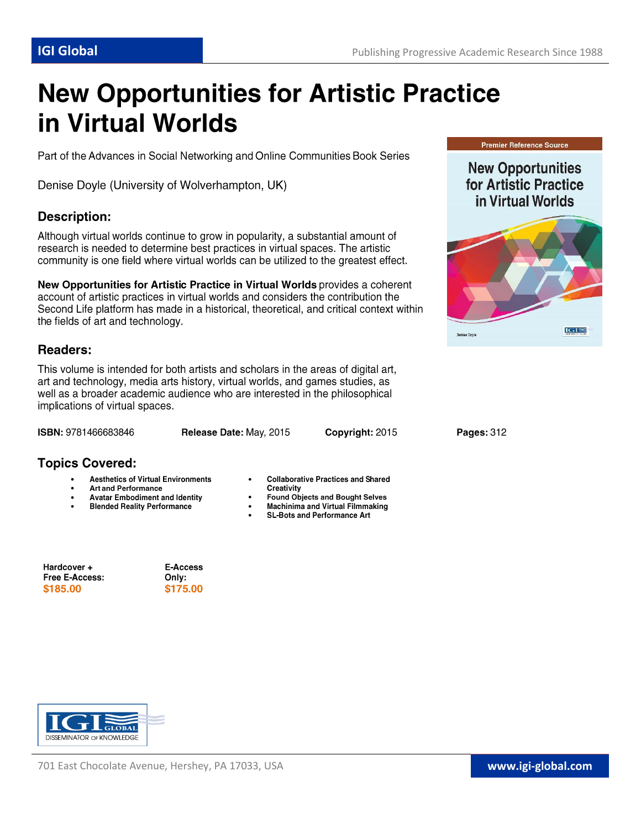# **New Opportunities for Artistic Practice** in Virtual Worlds

Part of the Advances in Social Networking and Online Communities Book Series

Denise Doyle (University of Wolverhampton, UK)

# **Description:**

Although virtual worlds continue to grow in popularity, a substantial amount of research is needed to determine best practices in virtual spaces. The artistic community is one field where virtual worlds can be utilized to the greatest effect.

New Opportunities for Artistic Practice in Virtual Worlds provides a coherent account of artistic practices in virtual worlds and considers the contribution the Second Life platform has made in a historical, theoretical, and critical context within the fields of art and technology.

# **Readers:**

This volume is intended for both artists and scholars in the areas of digital art, art and technology, media arts history, virtual worlds, and games studies, as well as a broader academic audience who are interested in the philosophical implications of virtual spaces.

ISBN: 9781466683846

Release Date: May, 2015

 $\bullet$ 

Copyright: 2015

# **Topics Covered:**

- **Aesthetics of Virtual Environments**  $\bullet$
- $\bullet$ **Art and Performance**
- **Avatar Embodiment and Identity**  $\bullet$
- **Blended Reality Performance**  $\bullet$

Hardcover + Free E-Access: \$185.00

E-Access Only: \$175.00



- Creativity
- **Found Objects and Bought Selves**  $\bullet$ Machinima and Virtual Filmmaking
- $\bullet$ **SL-Bots and Performance Art**  $\bullet$





**New Opportunities** for Artistic Practice in Virtual Worlds



Pages: 312